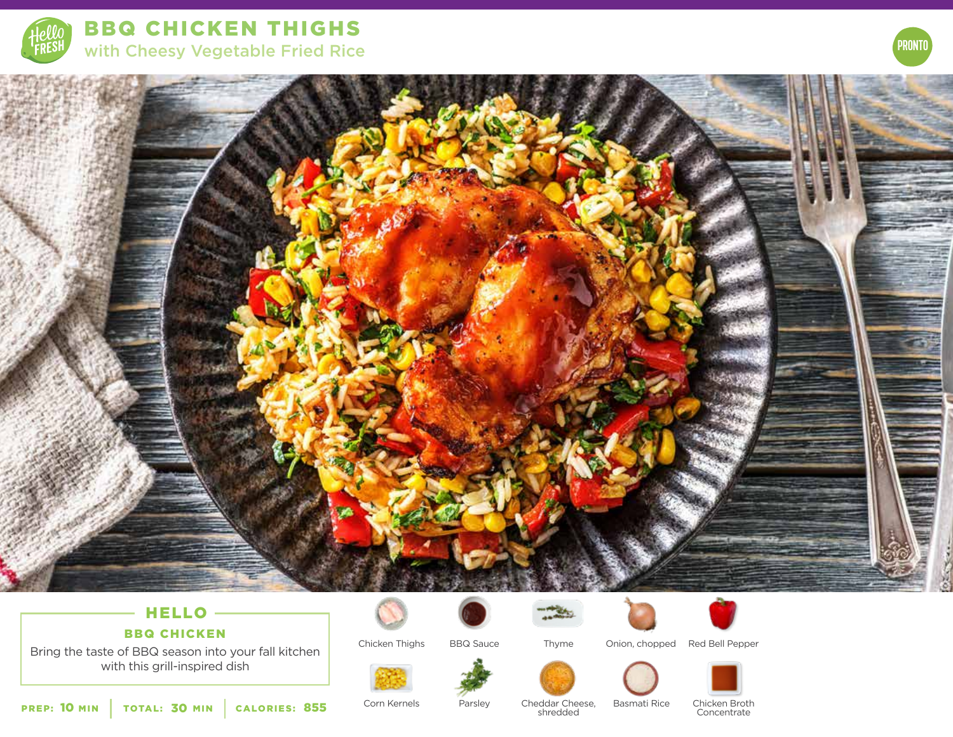

BBQ CHICKEN THIGHS with Cheesy Vegetable Fried Rice



# HELLO

# BBQ CHICKEN

Bring the taste of BBQ season into your fall kitchen with this grill-inspired dish

Chicken Thighs







Thyme



BBQ Sauce Thyme Onion, chopped Red Bell Pepper



PREP: 10 MIN | TOTAL: 30 MIN | CALORIES:

Corn Kernels

Parsley Basmati Rice Cheddar Cheese, <sup>855</sup> shredded

Chicken Broth **Concentrate** 



**PRONTO**